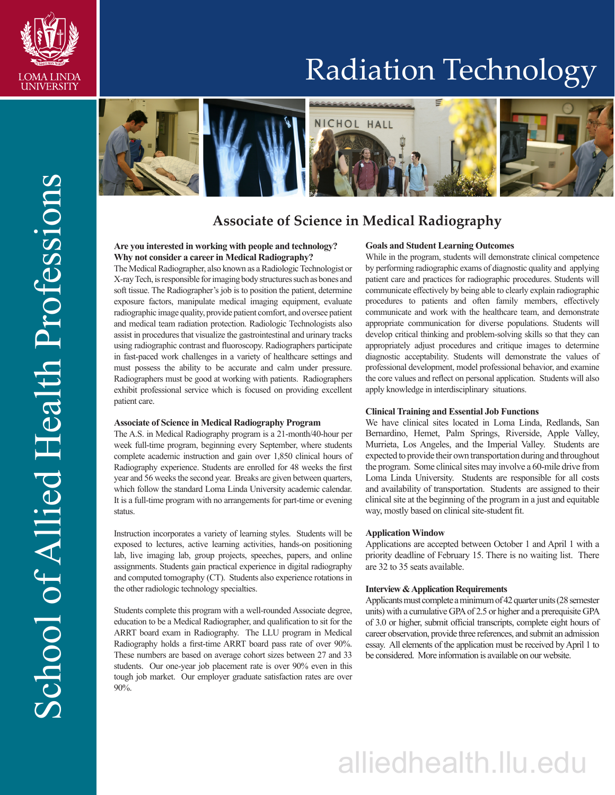

# Radiation Technology



# **Associate of Science in Medical Radiography**

# **Are you interested in working with people and technology? Why not consider a career in Medical Radiography?**

The Medical Radiographer, also known as a Radiologic Technologist or X-ray Tech, is responsible for imaging body structures such as bones and soft tissue. The Radiographer's job is to position the patient, determine exposure factors, manipulate medical imaging equipment, evaluate radiographic image quality, provide patient comfort, and oversee patient and medical team radiation protection. Radiologic Technologists also assist in procedures that visualize the gastrointestinal and urinary tracks using radiographic contrast and fluoroscopy. Radiographers participate in fast-paced work challenges in a variety of healthcare settings and must possess the ability to be accurate and calm under pressure. Radiographers must be good at working with patients. Radiographers exhibit professional service which is focused on providing excellent patient care.

## **Associate of Science in Medical Radiography Program**

The A.S. in Medical Radiography program is a 21-month/40-hour per week full-time program, beginning every September, where students complete academic instruction and gain over 1,850 clinical hours of Radiography experience. Students are enrolled for 48 weeks the first year and 56 weeks the second year. Breaks are given between quarters, which follow the standard Loma Linda University academic calendar. It is a full-time program with no arrangements for part-time or evening status.

Instruction incorporates a variety of learning styles. Students will be exposed to lectures, active learning activities, hands-on positioning lab, live imaging lab, group projects, speeches, papers, and online assignments. Students gain practical experience in digital radiography and computed tomography (CT). Students also experience rotations in the other radiologic technology specialties.

Students complete this program with a well-rounded Associate degree, education to be a Medical Radiographer, and qualification to sit for the ARRT board exam in Radiography. The LLU program in Medical Radiography holds a first-time ARRT board pass rate of over 90%. These numbers are based on average cohort sizes between 27 and 33 students. Our one-year job placement rate is over 90% even in this tough job market. Our employer graduate satisfaction rates are over 90%.

#### **Goals and Student Learning Outcomes**

While in the program, students will demonstrate clinical competence by performing radiographic exams of diagnostic quality and applying patient care and practices for radiographic procedures. Students will communicate effectively by being able to clearly explain radiographic procedures to patients and often family members, effectively communicate and work with the healthcare team, and demonstrate appropriate communication for diverse populations. Students will develop critical thinking and problem-solving skills so that they can appropriately adjust procedures and critique images to determine diagnostic acceptability. Students will demonstrate the values of professional development, model professional behavior, and examine the core values and reflect on personal application. Students will also apply knowledge in interdisciplinary situations.

#### **Clinical Training and Essential Job Functions**

We have clinical sites located in Loma Linda, Redlands, San Bernardino, Hemet, Palm Springs, Riverside, Apple Valley, Murrieta, Los Angeles, and the Imperial Valley. Students are expected to provide their own transportation during and throughout the program. Some clinical sites may involve a 60-mile drive from Loma Linda University. Students are responsible for all costs and availability of transportation. Students are assigned to their clinical site at the beginning of the program in a just and equitable way, mostly based on clinical site-student fit.

#### **Application Window**

Applications are accepted between October 1 and April 1 with a priority deadline of February 15. There is no waiting list. There are 32 to 35 seats available.

# **Interview & Application Requirements**

Applicants must complete a minimum of 42 quarter units (28 semester units) with a cumulative GPA of 2.5 or higher and a prerequisite GPA of 3.0 or higher, submit official transcripts, complete eight hours of career observation, provide three references, and submit an admission essay. All elements of the application must be received by April 1 to be considered. More information is available on our website.

# alliedhealth.llu.edu